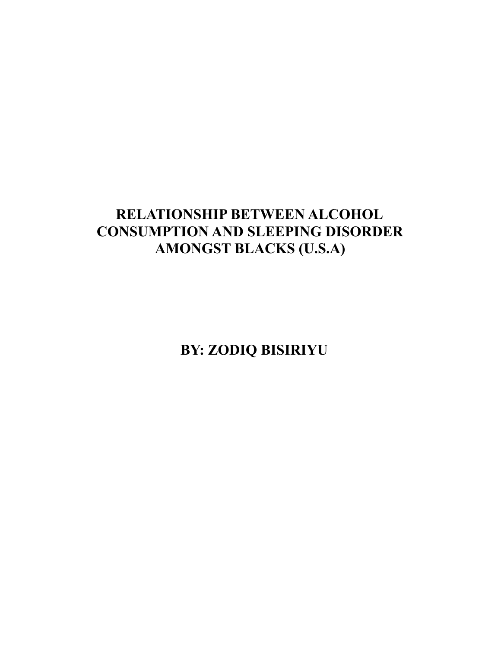# **RELATIONSHIP BETWEEN ALCOHOL CONSUMPTION AND SLEEPING DISORDER AMONGST BLACKS (U.S.A)**

**BY: ZODIQ BISIRIYU**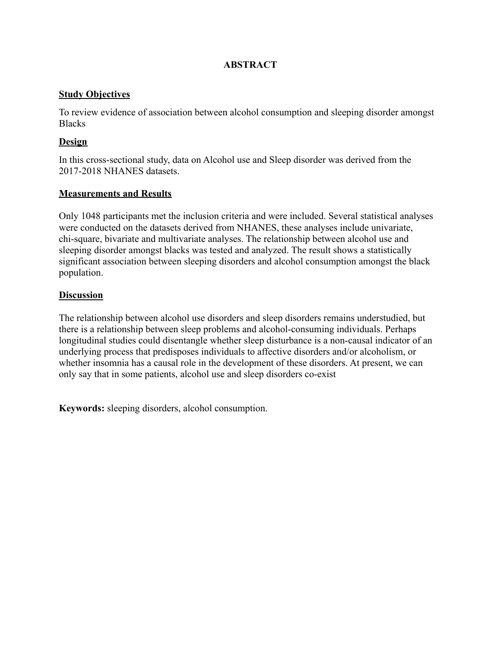# **ABSTRACT**

# **Study Objectives**

To review evidence of association between alcohol consumption and sleeping disorder amongst **Blacks** 

# **Design**

In this cross-sectional study, data on Alcohol use and Sleep disorder was derived from the 2017-2018 NHANES datasets.

# **Measurements and Results**

Only 1048 participants met the inclusion criteria and were included. Several statistical analyses were conducted on the datasets derived from NHANES, these analyses include univariate, chi-square, bivariate and multivariate analyses. The relationship between alcohol use and sleeping disorder amongst blacks was tested and analyzed. The result shows a statistically significant association between sleeping disorders and alcohol consumption amongst the black population.

# **Discussion**

The relationship between alcohol use disorders and sleep disorders remains understudied, but there is a relationship between sleep problems and alcohol-consuming individuals. Perhaps longitudinal studies could disentangle whether sleep disturbance is a non-causal indicator of an underlying process that predisposes individuals to affective disorders and/or alcoholism, or whether insomnia has a causal role in the development of these disorders. At present, we can only say that in some patients, alcohol use and sleep disorders co-exist

**Keywords:** sleeping disorders, alcohol consumption.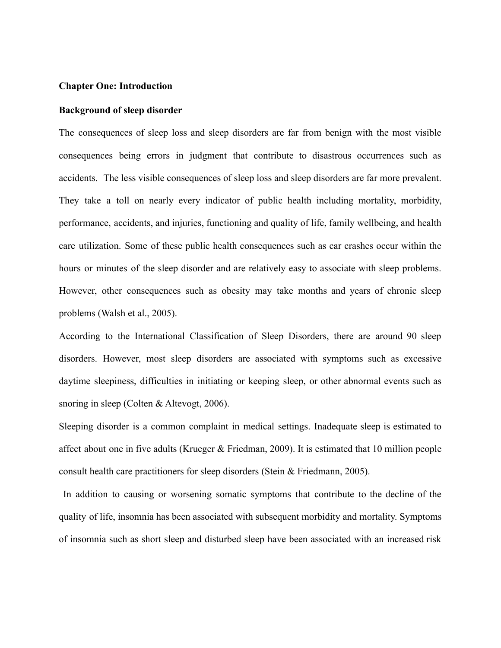#### **Chapter One: Introduction**

#### **Background of sleep disorder**

The consequences of sleep loss and sleep disorders are far from benign with the most visible consequences being errors in judgment that contribute to disastrous occurrences such as accidents. The less visible consequences of sleep loss and sleep disorders are far more prevalent. They take a toll on nearly every indicator of public health including mortality, morbidity, performance, accidents, and injuries, functioning and quality of life, family wellbeing, and health care utilization. Some of these public health consequences such as car crashes occur within the hours or minutes of the sleep disorder and are relatively easy to associate with sleep problems. However, other consequences such as obesity may take months and years of chronic sleep problems (Walsh et al., 2005).

According to the International Classification of Sleep Disorders, there are around 90 sleep disorders. However, most sleep disorders are associated with symptoms such as excessive daytime sleepiness, difficulties in initiating or keeping sleep, or other abnormal events such as snoring in sleep (Colten & Altevogt, 2006).

Sleeping disorder is a common complaint in medical settings. Inadequate sleep is estimated to affect about one in five adults (Krueger & Friedman, 2009). It is estimated that 10 million people consult health care practitioners for sleep disorders (Stein & Friedmann, 2005).

In addition to causing or worsening somatic symptoms that contribute to the decline of the quality of life, insomnia has been associated with subsequent morbidity and mortality. Symptoms of insomnia such as short sleep and disturbed sleep have been associated with an increased risk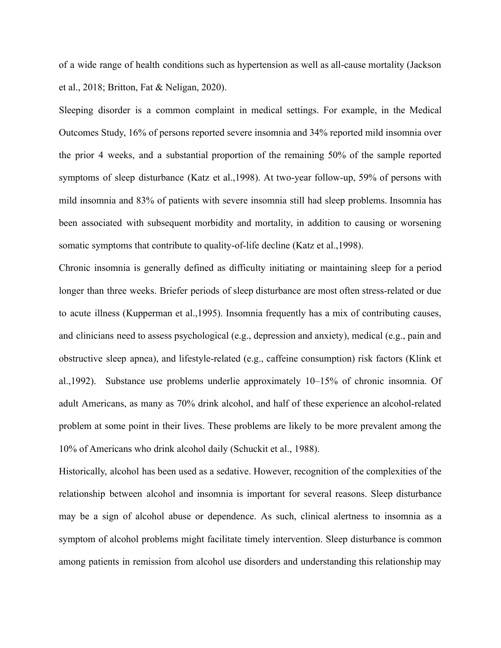of a wide range of health conditions such as hypertension as well as all-cause mortality (Jackson et al., 2018; Britton, Fat & Neligan, 2020).

Sleeping disorder is a common complaint in medical settings. For example, in the Medical Outcomes Study, 16% of persons reported severe insomnia and 34% reported mild insomnia over the prior 4 weeks, and a substantial proportion of the remaining 50% of the sample reported symptoms of sleep disturbance (Katz et al.,1998). At two-year follow-up, 59% of persons with mild insomnia and 83% of patients with severe insomnia still had sleep problems. Insomnia has been associated with subsequent morbidity and mortality, in addition to causing or worsening somatic symptoms that contribute to quality-of-life decline (Katz et al.,1998).

Chronic insomnia is generally defined as difficulty initiating or maintaining sleep for a period longer than three weeks. Briefer periods of sleep disturbance are most often stress-related or due to acute illness (Kupperman et al.,1995). Insomnia frequently has a mix of contributing causes, and clinicians need to assess psychological (e.g., depression and anxiety), medical (e.g., pain and obstructive sleep apnea), and lifestyle-related (e.g., caffeine consumption) risk factors (Klink et al.,1992). Substance use problems underlie approximately 10–15% of chronic insomnia. Of adult Americans, as many as 70% drink alcohol, and half of these experience an alcohol-related problem at some point in their lives. These problems are likely to be more prevalent among the 10% of Americans who drink alcohol daily (Schuckit et al., 1988).

Historically, alcohol has been used as a sedative. However, recognition of the complexities of the relationship between alcohol and insomnia is important for several reasons. Sleep disturbance may be a sign of alcohol abuse or dependence. As such, clinical alertness to insomnia as a symptom of alcohol problems might facilitate timely intervention. Sleep disturbance is common among patients in remission from alcohol use disorders and understanding this relationship may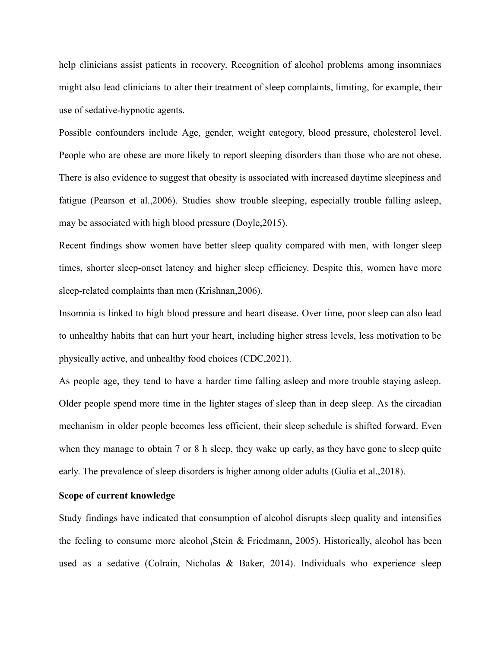help clinicians assist patients in recovery. Recognition of alcohol problems among insomniacs might also lead clinicians to alter their treatment of sleep complaints, limiting, for example, their use of sedative-hypnotic agents.

Possible confounders include Age, gender, weight category, blood pressure, cholesterol level. People who are obese are more likely to report sleeping disorders than those who are not obese. There is also evidence to suggest that obesity is associated with increased daytime sleepiness and fatigue (Pearson et al.,2006). Studies show trouble sleeping, especially trouble falling asleep, may be associated with high blood pressure (Doyle,2015).

Recent findings show women have better sleep quality compared with men, with longer sleep times, shorter sleep-onset latency and higher sleep efficiency. Despite this, women have more sleep-related complaints than men (Krishnan,2006).

Insomnia is linked to high blood pressure and heart disease. Over time, poor sleep can also lead to unhealthy habits that can hurt your heart, including higher stress levels, less motivation to be physically active, and unhealthy food choices (CDC,2021).

As people age, they tend to have a harder time falling asleep and more trouble staying asleep. Older people spend more time in the lighter stages of sleep than in deep sleep. As the circadian mechanism in older people becomes less efficient, their sleep schedule is shifted forward. Even when they manage to obtain 7 or 8 h sleep, they wake up early, as they have gone to sleep quite early. The prevalence of sleep disorders is higher among older adults (Gulia et al.,2018).

## **Scope of current knowledge**

Study findings have indicated that consumption of alcohol disrupts sleep quality and intensifies the feeling to consume more alcohol (Stein & Friedmann, 2005). Historically, alcohol has been used as a sedative (Colrain, Nicholas & Baker, 2014). Individuals who experience sleep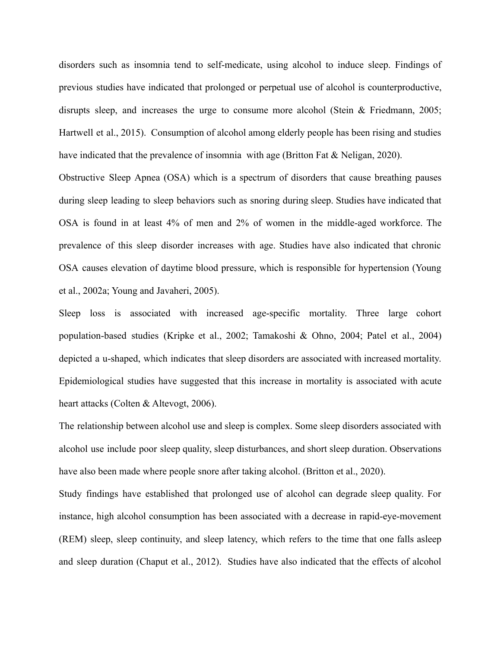disorders such as insomnia tend to self-medicate, using alcohol to induce sleep. Findings of previous studies have indicated that prolonged or perpetual use of alcohol is counterproductive, disrupts sleep, and increases the urge to consume more alcohol (Stein & Friedmann, 2005; Hartwell et al., 2015). Consumption of alcohol among elderly people has been rising and studies have indicated that the prevalence of insomnia with age (Britton Fat & Neligan, 2020).

Obstructive Sleep Apnea (OSA) which is a spectrum of disorders that cause breathing pauses during sleep leading to sleep behaviors such as snoring during sleep. Studies have indicated that OSA is found in at least 4% of men and 2% of women in the middle-aged workforce. The prevalence of this sleep disorder increases with age. Studies have also indicated that chronic OSA causes elevation of daytime blood pressure, which is responsible for hypertension (Young et al., 2002a; Young and Javaheri, 2005).

Sleep loss is associated with increased age-specific mortality. Three large cohort population-based studies (Kripke et al., 2002; Tamakoshi & Ohno, 2004; Patel et al., 2004) depicted a u-shaped, which indicates that sleep disorders are associated with increased mortality. Epidemiological studies have suggested that this increase in mortality is associated with acute heart attacks (Colten & Altevogt, 2006).

The relationship between alcohol use and sleep is complex. Some sleep disorders associated with alcohol use include poor sleep quality, sleep disturbances, and short sleep duration. Observations have also been made where people snore after taking alcohol. (Britton et al., 2020).

Study findings have established that prolonged use of alcohol can degrade sleep quality. For instance, high alcohol consumption has been associated with a decrease in rapid-eye-movement (REM) sleep, sleep continuity, and sleep latency, which refers to the time that one falls asleep and sleep duration (Chaput et al., 2012). Studies have also indicated that the effects of alcohol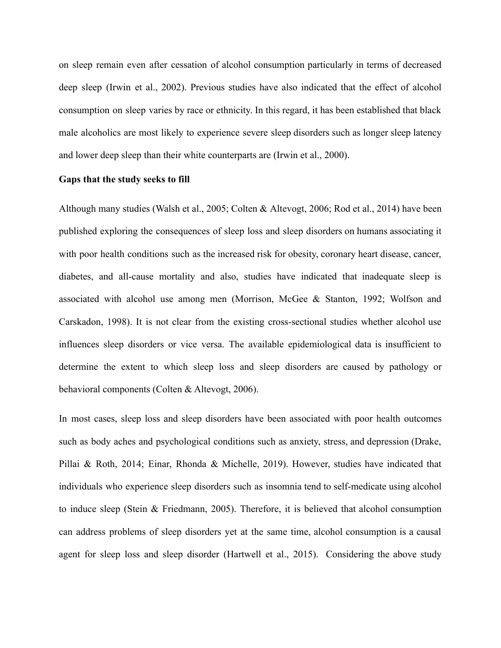on sleep remain even after cessation of alcohol consumption particularly in terms of decreased deep sleep (Irwin et al., 2002). Previous studies have also indicated that the effect of alcohol consumption on sleep varies by race or ethnicity. In this regard, it has been established that black male alcoholics are most likely to experience severe sleep disorders such as longer sleep latency and lower deep sleep than their white counterparts are (Irwin et al., 2000).

## **Gaps that the study seeks to fill**

Although many studies (Walsh et al., 2005; Colten & Altevogt, 2006; Rod et al., 2014) have been published exploring the consequences of sleep loss and sleep disorders on humans associating it with poor health conditions such as the increased risk for obesity, coronary heart disease, cancer, diabetes, and all-cause mortality and also, studies have indicated that inadequate sleep is associated with alcohol use among men (Morrison, McGee & Stanton, 1992; Wolfson and Carskadon, 1998). It is not clear from the existing cross-sectional studies whether alcohol use influences sleep disorders or vice versa. The available epidemiological data is insufficient to determine the extent to which sleep loss and sleep disorders are caused by pathology or behavioral components (Colten & Altevogt, 2006).

In most cases, sleep loss and sleep disorders have been associated with poor health outcomes such as body aches and psychological conditions such as anxiety, stress, and depression (Drake, Pillai & Roth, 2014; Einar, Rhonda & Michelle, 2019). However, studies have indicated that individuals who experience sleep disorders such as insomnia tend to self-medicate using alcohol to induce sleep (Stein & Friedmann, 2005). Therefore, it is believed that alcohol consumption can address problems of sleep disorders yet at the same time, alcohol consumption is a causal agent for sleep loss and sleep disorder (Hartwell et al., 2015). Considering the above study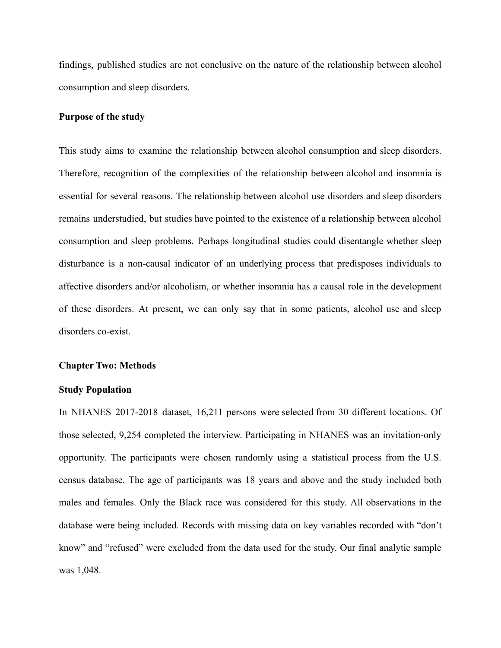findings, published studies are not conclusive on the nature of the relationship between alcohol consumption and sleep disorders.

#### **Purpose of the study**

This study aims to examine the relationship between alcohol consumption and sleep disorders. Therefore, recognition of the complexities of the relationship between alcohol and insomnia is essential for several reasons. The relationship between alcohol use disorders and sleep disorders remains understudied, but studies have pointed to the existence of a relationship between alcohol consumption and sleep problems. Perhaps longitudinal studies could disentangle whether sleep disturbance is a non-causal indicator of an underlying process that predisposes individuals to affective disorders and/or alcoholism, or whether insomnia has a causal role in the development of these disorders. At present, we can only say that in some patients, alcohol use and sleep disorders co-exist.

#### **Chapter Two: Methods**

#### **Study Population**

In NHANES 2017-2018 dataset, 16,211 persons were selected from 30 different locations. Of those selected, 9,254 completed the interview. Participating in NHANES was an invitation-only opportunity. The participants were chosen randomly using a statistical process from the U.S. census database. The age of participants was 18 years and above and the study included both males and females. Only the Black race was considered for this study. All observations in the database were being included. Records with missing data on key variables recorded with "don't know" and "refused" were excluded from the data used for the study. Our final analytic sample was 1,048.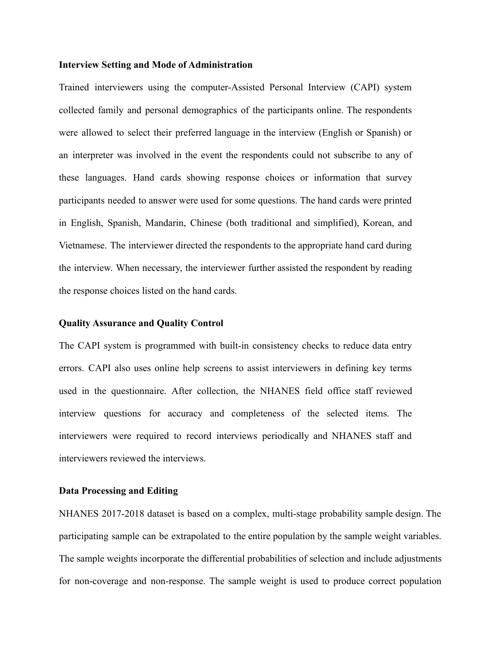#### **Interview Setting and Mode of Administration**

Trained interviewers using the computer-Assisted Personal Interview (CAPI) system collected family and personal demographics of the participants online. The respondents were allowed to select their preferred language in the interview (English or Spanish) or an interpreter was involved in the event the respondents could not subscribe to any of these languages. Hand cards showing response choices or information that survey participants needed to answer were used for some questions. The hand cards were printed in English, Spanish, Mandarin, Chinese (both traditional and simplified), Korean, and Vietnamese. The interviewer directed the respondents to the appropriate hand card during the interview. When necessary, the interviewer further assisted the respondent by reading the response choices listed on the hand cards.

### **Quality Assurance and Quality Control**

The CAPI system is programmed with built-in consistency checks to reduce data entry errors. CAPI also uses online help screens to assist interviewers in defining key terms used in the questionnaire. After collection, the NHANES field office staff reviewed interview questions for accuracy and completeness of the selected items. The interviewers were required to record interviews periodically and NHANES staff and interviewers reviewed the interviews.

#### **Data Processing and Editing**

NHANES 2017-2018 dataset is based on a complex, multi-stage probability sample design. The participating sample can be extrapolated to the entire population by the sample weight variables. The sample weights incorporate the differential probabilities of selection and include adjustments for non-coverage and non-response. The sample weight is used to produce correct population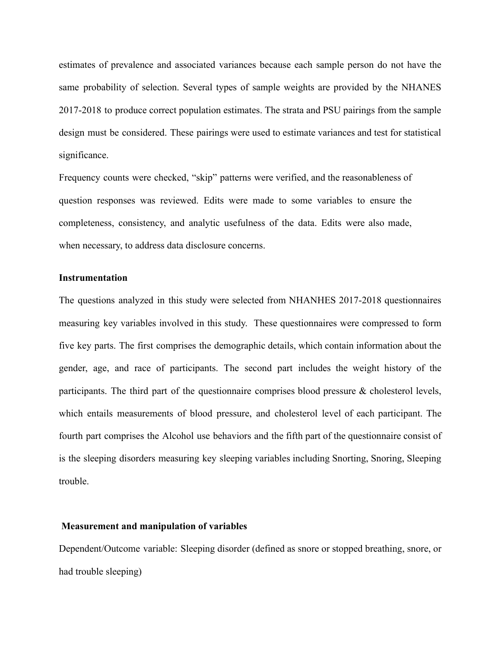estimates of prevalence and associated variances because each sample person do not have the same probability of selection. Several types of sample weights are provided by the NHANES 2017-2018 to produce correct population estimates. The strata and PSU pairings from the sample design must be considered. These pairings were used to estimate variances and test for statistical significance.

Frequency counts were checked, "skip" patterns were verified, and the reasonableness of question responses was reviewed. Edits were made to some variables to ensure the completeness, consistency, and analytic usefulness of the data. Edits were also made, when necessary, to address data disclosure concerns.

#### **Instrumentation**

The questions analyzed in this study were selected from NHANHES 2017-2018 questionnaires measuring key variables involved in this study. These questionnaires were compressed to form five key parts. The first comprises the demographic details, which contain information about the gender, age, and race of participants. The second part includes the weight history of the participants. The third part of the questionnaire comprises blood pressure  $\&$  cholesterol levels, which entails measurements of blood pressure, and cholesterol level of each participant. The fourth part comprises the Alcohol use behaviors and the fifth part of the questionnaire consist of is the sleeping disorders measuring key sleeping variables including Snorting, Snoring, Sleeping trouble.

#### **Measurement and manipulation of variables**

Dependent/Outcome variable: Sleeping disorder (defined as snore or stopped breathing, snore, or had trouble sleeping)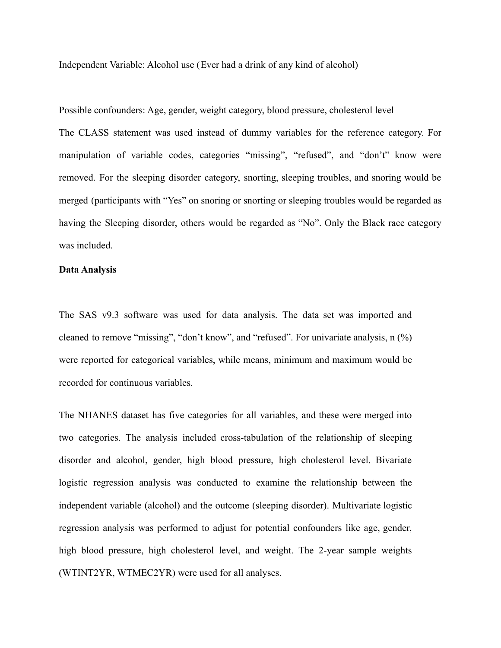Independent Variable: Alcohol use (Ever had a drink of any kind of alcohol)

Possible confounders: Age, gender, weight category, blood pressure, cholesterol level

The CLASS statement was used instead of dummy variables for the reference category. For manipulation of variable codes, categories "missing", "refused", and "don't" know were removed. For the sleeping disorder category, snorting, sleeping troubles, and snoring would be merged (participants with "Yes" on snoring or snorting or sleeping troubles would be regarded as having the Sleeping disorder, others would be regarded as "No". Only the Black race category was included.

## **Data Analysis**

The SAS v9.3 software was used for data analysis. The data set was imported and cleaned to remove "missing", "don't know", and "refused". For univariate analysis, n (%) were reported for categorical variables, while means, minimum and maximum would be recorded for continuous variables.

The NHANES dataset has five categories for all variables, and these were merged into two categories. The analysis included cross-tabulation of the relationship of sleeping disorder and alcohol, gender, high blood pressure, high cholesterol level. Bivariate logistic regression analysis was conducted to examine the relationship between the independent variable (alcohol) and the outcome (sleeping disorder). Multivariate logistic regression analysis was performed to adjust for potential confounders like age, gender, high blood pressure, high cholesterol level, and weight. The 2-year sample weights (WTINT2YR, WTMEC2YR) were used for all analyses.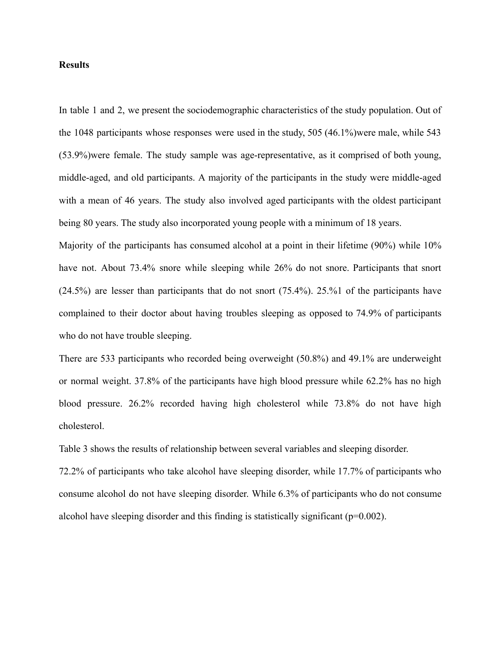#### **Results**

In table 1 and 2, we present the sociodemographic characteristics of the study population. Out of the 1048 participants whose responses were used in the study, 505 (46.1%)were male, while 543 (53.9%)were female. The study sample was age-representative, as it comprised of both young, middle-aged, and old participants. A majority of the participants in the study were middle-aged with a mean of 46 years. The study also involved aged participants with the oldest participant being 80 years. The study also incorporated young people with a minimum of 18 years.

Majority of the participants has consumed alcohol at a point in their lifetime (90%) while 10% have not. About 73.4% snore while sleeping while 26% do not snore. Participants that snort (24.5%) are lesser than participants that do not snort (75.4%). 25.%1 of the participants have complained to their doctor about having troubles sleeping as opposed to 74.9% of participants who do not have trouble sleeping.

There are 533 participants who recorded being overweight (50.8%) and 49.1% are underweight or normal weight. 37.8% of the participants have high blood pressure while 62.2% has no high blood pressure. 26.2% recorded having high cholesterol while 73.8% do not have high cholesterol.

Table 3 shows the results of relationship between several variables and sleeping disorder.

72.2% of participants who take alcohol have sleeping disorder, while 17.7% of participants who consume alcohol do not have sleeping disorder. While 6.3% of participants who do not consume alcohol have sleeping disorder and this finding is statistically significant  $(p=0.002)$ .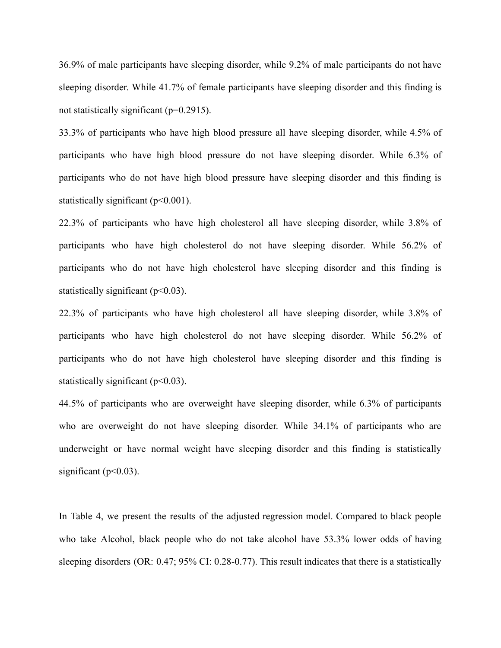36.9% of male participants have sleeping disorder, while 9.2% of male participants do not have sleeping disorder. While 41.7% of female participants have sleeping disorder and this finding is not statistically significant (p=0.2915).

33.3% of participants who have high blood pressure all have sleeping disorder, while 4.5% of participants who have high blood pressure do not have sleeping disorder. While 6.3% of participants who do not have high blood pressure have sleeping disorder and this finding is statistically significant ( $p<0.001$ ).

22.3% of participants who have high cholesterol all have sleeping disorder, while 3.8% of participants who have high cholesterol do not have sleeping disorder. While 56.2% of participants who do not have high cholesterol have sleeping disorder and this finding is statistically significant  $(p<0.03)$ .

22.3% of participants who have high cholesterol all have sleeping disorder, while 3.8% of participants who have high cholesterol do not have sleeping disorder. While 56.2% of participants who do not have high cholesterol have sleeping disorder and this finding is statistically significant  $(p<0.03)$ .

44.5% of participants who are overweight have sleeping disorder, while 6.3% of participants who are overweight do not have sleeping disorder. While 34.1% of participants who are underweight or have normal weight have sleeping disorder and this finding is statistically significant ( $p<0.03$ ).

In Table 4, we present the results of the adjusted regression model. Compared to black people who take Alcohol, black people who do not take alcohol have 53.3% lower odds of having sleeping disorders (OR: 0.47; 95% CI: 0.28-0.77). This result indicates that there is a statistically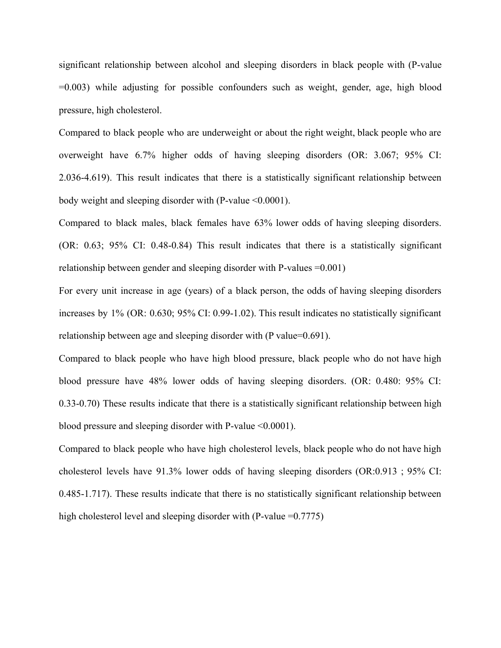significant relationship between alcohol and sleeping disorders in black people with (P-value =0.003) while adjusting for possible confounders such as weight, gender, age, high blood pressure, high cholesterol.

Compared to black people who are underweight or about the right weight, black people who are overweight have 6.7% higher odds of having sleeping disorders (OR: 3.067; 95% CI: 2.036-4.619). This result indicates that there is a statistically significant relationship between body weight and sleeping disorder with (P-value <0.0001).

Compared to black males, black females have 63% lower odds of having sleeping disorders. (OR: 0.63; 95% CI: 0.48-0.84) This result indicates that there is a statistically significant relationship between gender and sleeping disorder with P-values =0.001)

For every unit increase in age (years) of a black person, the odds of having sleeping disorders increases by 1% (OR: 0.630; 95% CI: 0.99-1.02). This result indicates no statistically significant relationship between age and sleeping disorder with (P value=0.691).

Compared to black people who have high blood pressure, black people who do not have high blood pressure have 48% lower odds of having sleeping disorders. (OR: 0.480: 95% CI: 0.33-0.70) These results indicate that there is a statistically significant relationship between high blood pressure and sleeping disorder with P-value <0.0001).

Compared to black people who have high cholesterol levels, black people who do not have high cholesterol levels have 91.3% lower odds of having sleeping disorders (OR:0.913 ; 95% CI: 0.485-1.717). These results indicate that there is no statistically significant relationship between high cholesterol level and sleeping disorder with  $(P-value = 0.7775)$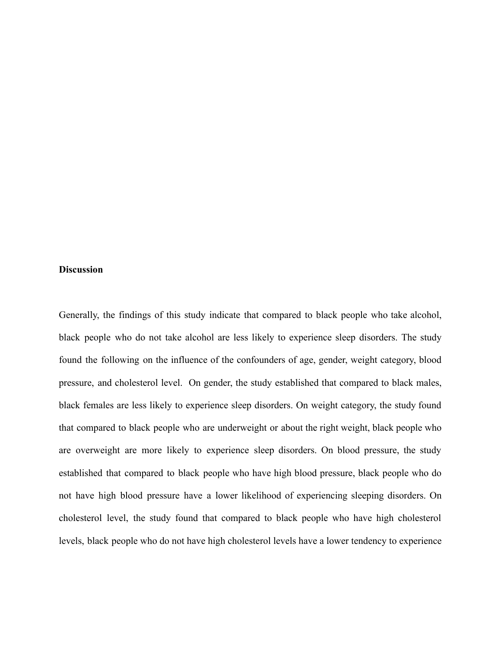## **Discussion**

Generally, the findings of this study indicate that compared to black people who take alcohol, black people who do not take alcohol are less likely to experience sleep disorders. The study found the following on the influence of the confounders of age, gender, weight category, blood pressure, and cholesterol level. On gender, the study established that compared to black males, black females are less likely to experience sleep disorders. On weight category, the study found that compared to black people who are underweight or about the right weight, black people who are overweight are more likely to experience sleep disorders. On blood pressure, the study established that compared to black people who have high blood pressure, black people who do not have high blood pressure have a lower likelihood of experiencing sleeping disorders. On cholesterol level, the study found that compared to black people who have high cholesterol levels, black people who do not have high cholesterol levels have a lower tendency to experience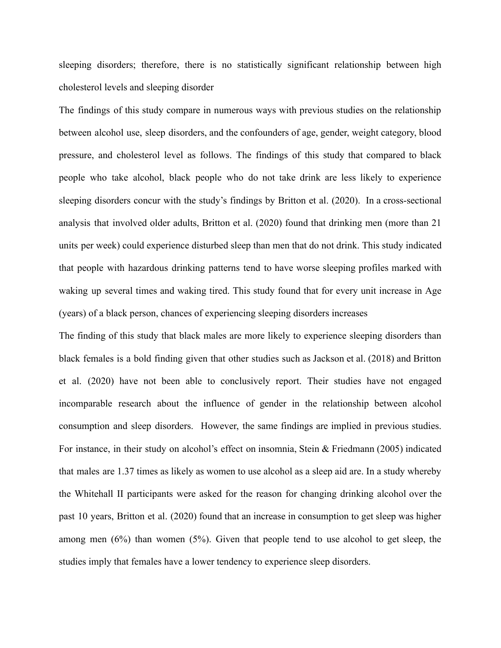sleeping disorders; therefore, there is no statistically significant relationship between high cholesterol levels and sleeping disorder

The findings of this study compare in numerous ways with previous studies on the relationship between alcohol use, sleep disorders, and the confounders of age, gender, weight category, blood pressure, and cholesterol level as follows. The findings of this study that compared to black people who take alcohol, black people who do not take drink are less likely to experience sleeping disorders concur with the study's findings by Britton et al. (2020). In a cross-sectional analysis that involved older adults, Britton et al. (2020) found that drinking men (more than 21 units per week) could experience disturbed sleep than men that do not drink. This study indicated that people with hazardous drinking patterns tend to have worse sleeping profiles marked with waking up several times and waking tired. This study found that for every unit increase in Age (years) of a black person, chances of experiencing sleeping disorders increases

The finding of this study that black males are more likely to experience sleeping disorders than black females is a bold finding given that other studies such as Jackson et al. (2018) and Britton et al. (2020) have not been able to conclusively report. Their studies have not engaged incomparable research about the influence of gender in the relationship between alcohol consumption and sleep disorders. However, the same findings are implied in previous studies. For instance, in their study on alcohol's effect on insomnia, Stein & Friedmann (2005) indicated that males are 1.37 times as likely as women to use alcohol as a sleep aid are. In a study whereby the Whitehall II participants were asked for the reason for changing drinking alcohol over the past 10 years, Britton et al. (2020) found that an increase in consumption to get sleep was higher among men (6%) than women (5%). Given that people tend to use alcohol to get sleep, the studies imply that females have a lower tendency to experience sleep disorders.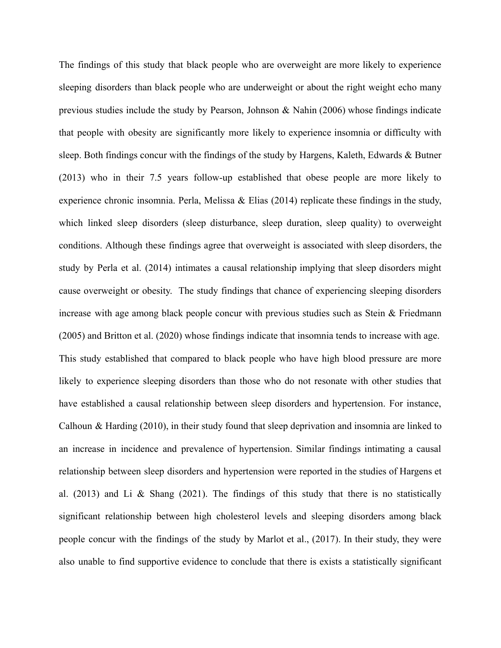The findings of this study that black people who are overweight are more likely to experience sleeping disorders than black people who are underweight or about the right weight echo many previous studies include the study by Pearson, Johnson & Nahin (2006) whose findings indicate that people with obesity are significantly more likely to experience insomnia or difficulty with sleep. Both findings concur with the findings of the study by Hargens, Kaleth, Edwards & Butner (2013) who in their 7.5 years follow-up established that obese people are more likely to experience chronic insomnia. Perla, Melissa & Elias (2014) replicate these findings in the study, which linked sleep disorders (sleep disturbance, sleep duration, sleep quality) to overweight conditions. Although these findings agree that overweight is associated with sleep disorders, the study by Perla et al. (2014) intimates a causal relationship implying that sleep disorders might cause overweight or obesity. The study findings that chance of experiencing sleeping disorders increase with age among black people concur with previous studies such as Stein  $\&$  Friedmann (2005) and Britton et al. (2020) whose findings indicate that insomnia tends to increase with age. This study established that compared to black people who have high blood pressure are more likely to experience sleeping disorders than those who do not resonate with other studies that have established a causal relationship between sleep disorders and hypertension. For instance, Calhoun & Harding (2010), in their study found that sleep deprivation and insomnia are linked to an increase in incidence and prevalence of hypertension. Similar findings intimating a causal relationship between sleep disorders and hypertension were reported in the studies of Hargens et al. (2013) and Li & Shang (2021). The findings of this study that there is no statistically significant relationship between high cholesterol levels and sleeping disorders among black people concur with the findings of the study by Marlot et al., (2017). In their study, they were also unable to find supportive evidence to conclude that there is exists a statistically significant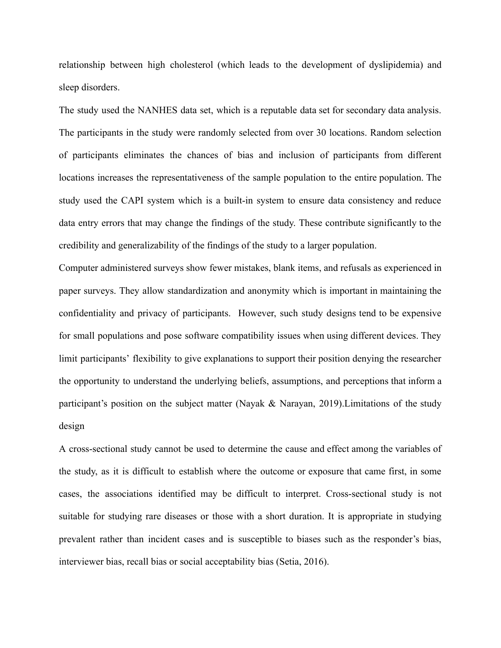relationship between high cholesterol (which leads to the development of dyslipidemia) and sleep disorders.

The study used the NANHES data set, which is a reputable data set for secondary data analysis. The participants in the study were randomly selected from over 30 locations. Random selection of participants eliminates the chances of bias and inclusion of participants from different locations increases the representativeness of the sample population to the entire population. The study used the CAPI system which is a built-in system to ensure data consistency and reduce data entry errors that may change the findings of the study. These contribute significantly to the credibility and generalizability of the findings of the study to a larger population.

Computer administered surveys show fewer mistakes, blank items, and refusals as experienced in paper surveys. They allow standardization and anonymity which is important in maintaining the confidentiality and privacy of participants. However, such study designs tend to be expensive for small populations and pose software compatibility issues when using different devices. They limit participants' flexibility to give explanations to support their position denying the researcher the opportunity to understand the underlying beliefs, assumptions, and perceptions that inform a participant's position on the subject matter (Nayak & Narayan, 2019). Limitations of the study design

A cross-sectional study cannot be used to determine the cause and effect among the variables of the study, as it is difficult to establish where the outcome or exposure that came first, in some cases, the associations identified may be difficult to interpret. Cross-sectional study is not suitable for studying rare diseases or those with a short duration. It is appropriate in studying prevalent rather than incident cases and is susceptible to biases such as the responder's bias, interviewer bias, recall bias or social acceptability bias (Setia, 2016).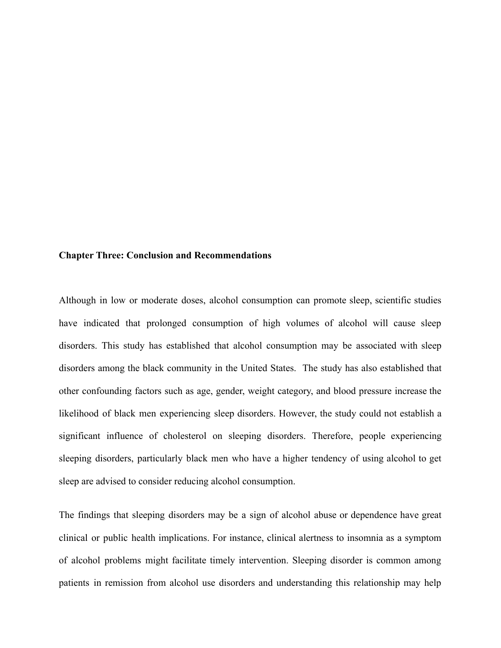#### **Chapter Three: Conclusion and Recommendations**

Although in low or moderate doses, alcohol consumption can promote sleep, scientific studies have indicated that prolonged consumption of high volumes of alcohol will cause sleep disorders. This study has established that alcohol consumption may be associated with sleep disorders among the black community in the United States. The study has also established that other confounding factors such as age, gender, weight category, and blood pressure increase the likelihood of black men experiencing sleep disorders. However, the study could not establish a significant influence of cholesterol on sleeping disorders. Therefore, people experiencing sleeping disorders, particularly black men who have a higher tendency of using alcohol to get sleep are advised to consider reducing alcohol consumption.

The findings that sleeping disorders may be a sign of alcohol abuse or dependence have great clinical or public health implications. For instance, clinical alertness to insomnia as a symptom of alcohol problems might facilitate timely intervention. Sleeping disorder is common among patients in remission from alcohol use disorders and understanding this relationship may help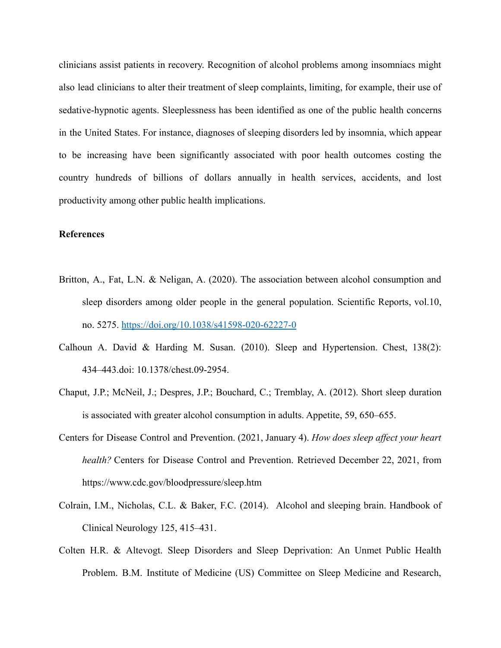clinicians assist patients in recovery. Recognition of alcohol problems among insomniacs might also lead clinicians to alter their treatment of sleep complaints, limiting, for example, their use of sedative-hypnotic agents. Sleeplessness has been identified as one of the public health concerns in the United States. For instance, diagnoses of sleeping disorders led by insomnia, which appear to be increasing have been significantly associated with poor health outcomes costing the country hundreds of billions of dollars annually in health services, accidents, and lost productivity among other public health implications.

# **References**

- Britton, A., Fat, L.N. & Neligan, A. (2020). The association between alcohol consumption and sleep disorders among older people in the general population. Scientific Reports, vol.10, no. 5275. <https://doi.org/10.1038/s41598-020-62227-0>
- Calhoun A. David & Harding M. Susan. (2010). Sleep and Hypertension. Chest, 138(2): 434–443.doi: 10.1378/chest.09-2954.
- Chaput, J.P.; McNeil, J.; Despres, J.P.; Bouchard, C.; Tremblay, A. (2012). Short sleep duration is associated with greater alcohol consumption in adults. Appetite, 59, 650–655.
- Centers for Disease Control and Prevention. (2021, January 4). *How does sleep affect your heart health?* Centers for Disease Control and Prevention. Retrieved December 22, 2021, from https://www.cdc.gov/bloodpressure/sleep.htm
- Colrain, I.M., Nicholas, C.L. & Baker, F.C. (2014). Alcohol and sleeping brain. Handbook of Clinical Neurology 125, 415–431.
- Colten H.R. & Altevogt. Sleep Disorders and Sleep Deprivation: An Unmet Public Health Problem. B.M. Institute of Medicine (US) Committee on Sleep Medicine and Research,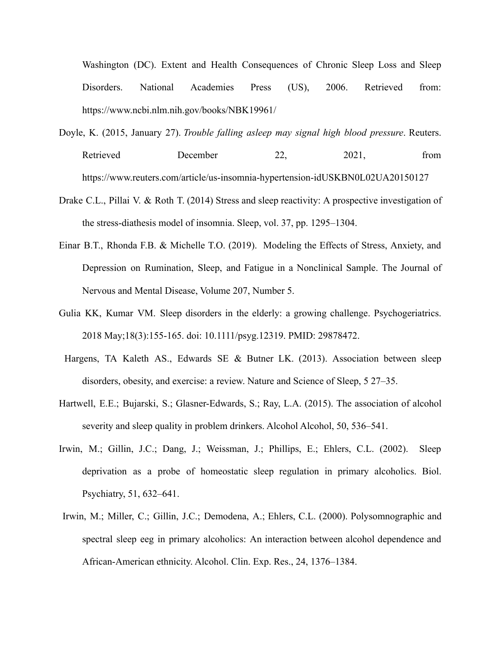Washington (DC). Extent and Health Consequences of Chronic Sleep Loss and Sleep Disorders. National Academies Press (US), 2006. Retrieved from: https://www.ncbi.nlm.nih.gov/books/NBK19961/

- Doyle, K. (2015, January 27). *Trouble falling asleep may signal high blood pressure*. Reuters. Retrieved December 22, 2021, from https://www.reuters.com/article/us-insomnia-hypertension-idUSKBN0L02UA20150127
- Drake C.L., Pillai V. & Roth T. (2014) Stress and sleep reactivity: A prospective investigation of the stress-diathesis model of insomnia. Sleep, vol. 37, pp. 1295–1304.
- Einar B.T., Rhonda F.B. & Michelle T.O. (2019). Modeling the Effects of Stress, Anxiety, and Depression on Rumination, Sleep, and Fatigue in a Nonclinical Sample. The Journal of Nervous and Mental Disease, Volume 207, Number 5.
- Gulia KK, Kumar VM. Sleep disorders in the elderly: a growing challenge. Psychogeriatrics. 2018 May;18(3):155-165. doi: 10.1111/psyg.12319. PMID: 29878472.
- Hargens, TA Kaleth AS., Edwards SE & Butner LK. (2013). Association between sleep disorders, obesity, and exercise: a review. Nature and Science of Sleep, 5 27–35.
- Hartwell, E.E.; Bujarski, S.; Glasner-Edwards, S.; Ray, L.A. (2015). The association of alcohol severity and sleep quality in problem drinkers. Alcohol Alcohol, 50, 536–541.
- Irwin, M.; Gillin, J.C.; Dang, J.; Weissman, J.; Phillips, E.; Ehlers, C.L. (2002). Sleep deprivation as a probe of homeostatic sleep regulation in primary alcoholics. Biol. Psychiatry, 51, 632–641.
- Irwin, M.; Miller, C.; Gillin, J.C.; Demodena, A.; Ehlers, C.L. (2000). Polysomnographic and spectral sleep eeg in primary alcoholics: An interaction between alcohol dependence and African-American ethnicity. Alcohol. Clin. Exp. Res., 24, 1376–1384.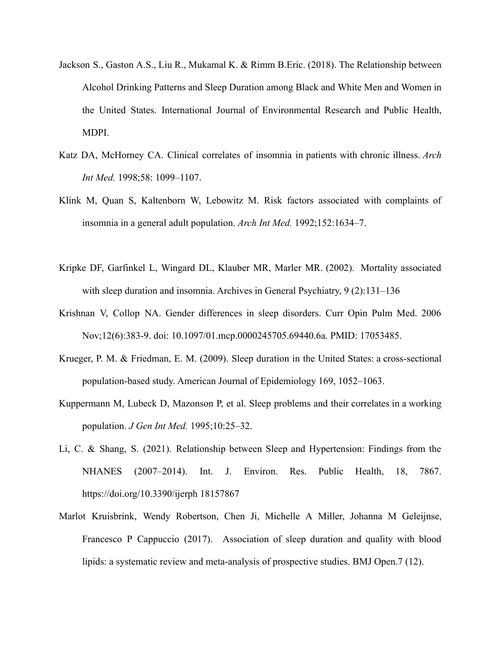- Jackson S., Gaston A.S., Liu R., Mukamal K. & Rimm B.Eric. (2018). The Relationship between Alcohol Drinking Patterns and Sleep Duration among Black and White Men and Women in the United States. International Journal of Environmental Research and Public Health, MDPI.
- Katz DA, McHorney CA. Clinical correlates of insomnia in patients with chronic illness. *Arch Int Med.* 1998;58: 1099–1107.
- Klink M, Quan S, Kaltenborn W, Lebowitz M. Risk factors associated with complaints of insomnia in a general adult population. *Arch Int Med.* 1992;152:1634–7.
- Kripke DF, Garfinkel L, Wingard DL, Klauber MR, Marler MR. (2002). Mortality associated with sleep duration and insomnia. Archives in General Psychiatry, 9 (2):131–136
- Krishnan V, Collop NA. Gender differences in sleep disorders. Curr Opin Pulm Med. 2006 Nov;12(6):383-9. doi: 10.1097/01.mcp.0000245705.69440.6a. PMID: 17053485.
- Krueger, P. M. & Friedman, E. M. (2009). Sleep duration in the United States: a cross-sectional population-based study. American Journal of Epidemiology 169, 1052–1063.
- Kuppermann M, Lubeck D, Mazonson P, et al. Sleep problems and their correlates in a working population. *J Gen Int Med.* 1995;10:25–32.
- Li, C. & Shang, S. (2021). Relationship between Sleep and Hypertension: Findings from the NHANES (2007–2014). Int. J. Environ. Res. Public Health, 18, 7867. https://doi.org/10.3390/ijerph 18157867
- Marlot Kruisbrink, Wendy Robertson, Chen Ji, Michelle A Miller, Johanna M Geleijnse, Francesco P Cappuccio (2017). Association of sleep duration and quality with blood lipids: a systematic review and meta-analysis of prospective studies. BMJ Open.7 (12).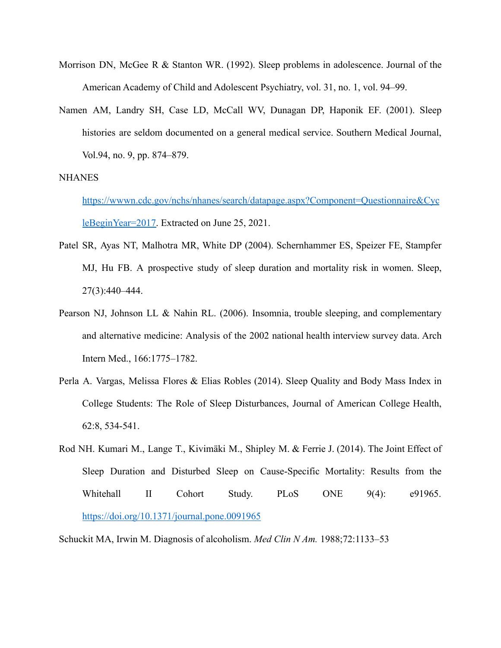- Morrison DN, McGee R & Stanton WR. (1992). Sleep problems in adolescence. Journal of the American Academy of Child and Adolescent Psychiatry, vol. 31, no. 1, vol. 94–99.
- Namen AM, Landry SH, Case LD, McCall WV, Dunagan DP, Haponik EF. (2001). Sleep histories are seldom documented on a general medical service. Southern Medical Journal, Vol.94, no. 9, pp. 874–879.

#### **NHANES**

[https://wwwn.cdc.gov/nchs/nhanes/search/datapage.aspx?Component=Questionnaire&Cyc](https://wwwn.cdc.gov/nchs/nhanes/search/datapage.aspx?Component=Questionnaire&CycleBeginYear=2017) [leBeginYear=2017.](https://wwwn.cdc.gov/nchs/nhanes/search/datapage.aspx?Component=Questionnaire&CycleBeginYear=2017) Extracted on June 25, 2021.

- Patel SR, Ayas NT, Malhotra MR, White DP (2004). Schernhammer ES, Speizer FE, Stampfer MJ, Hu FB. A prospective study of sleep duration and mortality risk in women. Sleep, 27(3):440–444.
- Pearson NJ, Johnson LL & Nahin RL. (2006). Insomnia, trouble sleeping, and complementary and alternative medicine: Analysis of the 2002 national health interview survey data. Arch Intern Med., 166:1775–1782.
- Perla A. Vargas, Melissa Flores & Elias Robles (2014). Sleep Quality and Body Mass Index in College Students: The Role of Sleep Disturbances, Journal of American College Health, 62:8, 534-541.
- Rod NH. Kumari M., Lange T., Kivimäki M., Shipley M. & Ferrie J. (2014). The Joint Effect of Sleep Duration and Disturbed Sleep on Cause-Specific Mortality: Results from the Whitehall II Cohort Study. PLoS ONE 9(4): e91965. <https://doi.org/10.1371/journal.pone.0091965>

Schuckit MA, Irwin M. Diagnosis of alcoholism. *Med Clin N Am.* 1988;72:1133–53